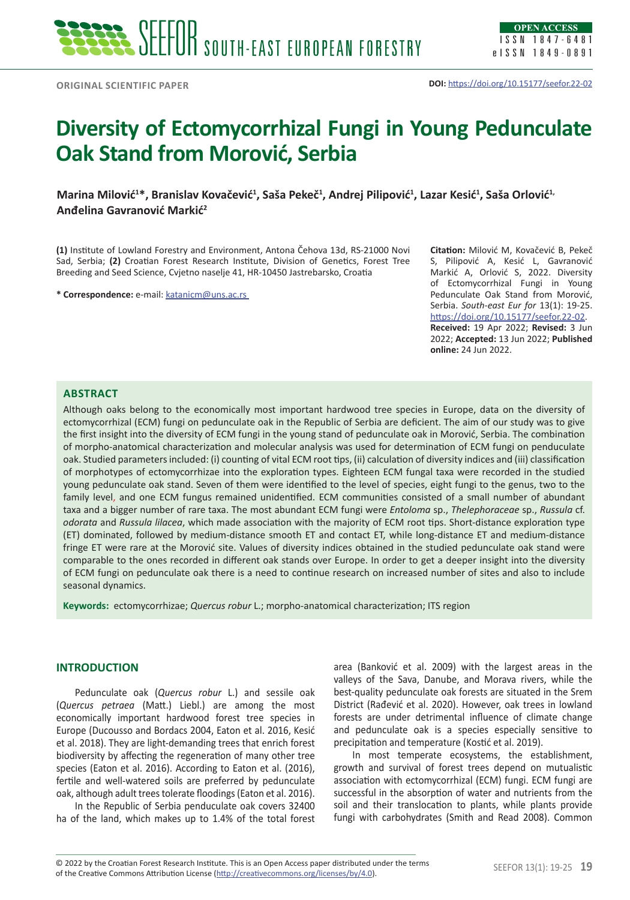# **Diversity of Ectomycorrhizal Fungi in Young Pedunculate Oak Stand from Morović, Serbia**

**Marina Milović** $^{1*}$ **, Branislav Kovačević** $^{1}$ **, Saša Pekeč** $^{1}$ **, Andrej Pilipović** $^{1}$ **, Lazar Kesić** $^{1}$ **, Saša Orlović** $^{1}$ **Anđelina Gavranović Markić<sup>2</sup>**

**(1)** Institute of Lowland Forestry and Environment, Antona Čehova 13d, RS-21000 Novi Sad, Serbia; **(2)** Croatian Forest Research Institute, Division of Genetics, Forest Tree Breeding and Seed Science, Cvjetno naselje 41, HR-10450 Jastrebarsko, Croatia

**\* Correspondence:** e-mail: [katanicm@uns.ac.rs](mailto:katanicm%40uns.ac.rs%20?subject=katanicm%40uns.ac.rs%20) 

**Citation:** Milović M, Kovačević B, Pekeč S, Pilipović A, Kesić L, Gavranović Markić A, Orlović S, 2022. Diversity of Ectomycorrhizal Fungi in Young Pedunculate Oak Stand from Morović, Serbia. *South-east Eur for* 13(1): 19-25. <https://doi.org/10.15177/seefor.22-02>. **Received:** 19 Apr 2022; **Revised:** 3 Jun 2022; **Accepted:** 13 Jun 2022; **Published online:** 24 Jun 2022.

## **Abstract**

Although oaks belong to the economically most important hardwood tree species in Europe, data on the diversity of ectomycorrhizal (ECM) fungi on pedunculate oak in the Republic of Serbia are deficient. The aim of our study was to give the first insight into the diversity of ECM fungi in the young stand of pedunculate oak in Morović, Serbia. The combination of morpho-anatomical characterization and molecular analysis was used for determination of ECM fungi on penduculate oak. Studied parameters included: (i) counting of vital ECM root tips, (ii) calculation of diversity indices and (iii) classification of morphotypes of ectomycorrhizae into the exploration types. Eighteen ECM fungal taxa were recorded in the studied young pedunculate oak stand. Seven of them were identified to the level of species, eight fungi to the genus, two to the family level, and one ECM fungus remained unidentified. ECM communities consisted of a small number of abundant taxa and a bigger number of rare taxa. The most abundant ECM fungi were *Entoloma* sp., *Thelephoraceae* sp., *Russula* cf. *odorata* and *Russula lilacea*, which made association with the majority of ECM root tips. Short-distance exploration type (ET) dominated, followed by medium-distance smooth ET and contact ET, while long-distance ET and medium-distance fringe ET were rare at the Morović site. Values of diversity indices obtained in the studied pedunculate oak stand were comparable to the ones recorded in different oak stands over Europe. In order to get a deeper insight into the diversity of ECM fungi on pedunculate oak there is a need to continue research on increased number of sites and also to include seasonal dynamics.

**Keywords:** ectomycorrhizae; *Quercus robur* L.; morpho-anatomical characterization; ITS region

## **INTRODUCTION**

Pedunculate oak (*Quercus robur* L.) and sessile oak (*Quercus petraea* (Matt.) Liebl.) are among the most economically important hardwood forest tree species in Europe (Ducousso and Bordacs 2004, Eaton et al. 2016, Kesić et al. 2018). They are light-demanding trees that enrich forest biodiversity by affecting the regeneration of many other tree species (Eaton et al. 2016). According to Eaton et al. (2016), fertile and well-watered soils are preferred by pedunculate oak, although adult trees tolerate floodings (Eaton et al. 2016).

In the Republic of Serbia penduculate oak covers 32400 ha of the land, which makes up to 1.4% of the total forest area (Banković et al. 2009) with the largest areas in the valleys of the Sava, Danube, and Morava rivers, while the best-quality pedunculate oak forests are situated in the Srem District (Rađević et al. 2020). However, oak trees in lowland forests are under detrimental influence of climate change and pedunculate oak is a species especially sensitive to precipitation and temperature (Kostić et al. 2019).

In most temperate ecosystems, the establishment, growth and survival of forest trees depend on mutualistic association with ectomycorrhizal (ECM) fungi. ECM fungi are successful in the absorption of water and nutrients from the soil and their translocation to plants, while plants provide fungi with carbohydrates (Smith and Read 2008). Common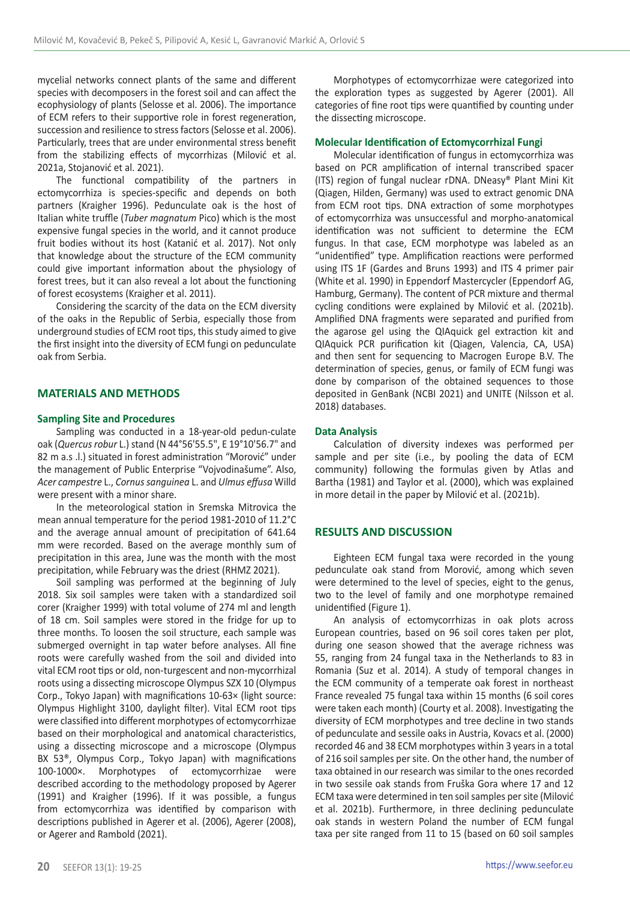mycelial networks connect plants of the same and different species with decomposers in the forest soil and can affect the ecophysiology of plants (Selosse et al. 2006). The importance of ECM refers to their supportive role in forest regeneration, succession and resilience to stress factors (Selosse et al. 2006). Particularly, trees that are under environmental stress benefit from the stabilizing effects of mycorrhizas (Milović et al. 2021a, Stojanović et al. 2021).

The functional compatibility of the partners in ectomycorrhiza is species-specific and depends on both partners (Kraigher 1996). Pedunculate oak is the host of Italian white truffle (*Tuber magnatum* Pico) which is the most expensive fungal species in the world, and it cannot produce fruit bodies without its host (Katanić et al. 2017). Not only that knowledge about the structure of the ECM community could give important information about the physiology of forest trees, but it can also reveal a lot about the functioning of forest ecosystems (Kraigher et al. 2011).

Considering the scarcity of the data on the ECM diversity of the oaks in the Republic of Serbia, especially those from underground studies of ECM root tips, this study aimed to give the first insight into the diversity of ECM fungi on pedunculate oak from Serbia.

## **MATERIALS AND METHODS**

## **Sampling Site and Procedures**

Sampling was conducted in a 18-year-old pedun-culate oak (*Quercus robur* L.) stand (N 44°56'55.5", E 19°10'56.7" and 82 m a.s .l.) situated in forest administration "Morović" under the management of Public Enterprise "Vojvodinašume". Also, *Acer campestre* L., *Cornus sanguinea* L. and *Ulmus effusa* Willd were present with a minor share.

In the meteorological station in Sremska Mitrovica the mean annual temperature for the period 1981-2010 of 11.2°C and the average annual amount of precipitation of 641.64 mm were recorded. Based on the average monthly sum of precipitation in this area, June was the month with the most precipitation, while February was the driest (RHMZ 2021).

Soil sampling was performed at the beginning of July 2018. Six soil samples were taken with a standardized soil corer (Kraigher 1999) with total volume of 274 ml and length of 18 cm. Soil samples were stored in the fridge for up to three months. To loosen the soil structure, each sample was submerged overnight in tap water before analyses. All fine roots were carefully washed from the soil and divided into vital ECM root tips or old, non-turgescent and non-mycorrhizal roots using a dissecting microscope Olympus SZX 10 (Olympus Corp., Tokyo Japan) with magnifications 10-63× (light source: Olympus Highlight 3100, daylight filter). Vital ECM root tips were classified into different morphotypes of ectomycorrhizae based on their morphological and anatomical characteristics, using a dissecting microscope and a microscope (Olympus BX 53®, Olympus Corp., Tokyo Japan) with magnifications 100-1000×. Morphotypes of ectomycorrhizae were described according to the methodology proposed by Agerer (1991) and Kraigher (1996). If it was possible, a fungus from ectomycorrhiza was identified by comparison with descriptions published in Agerer et al. (2006), Agerer (2008), or Agerer and Rambold (2021).

Morphotypes of ectomycorrhizae were categorized into the exploration types as suggested by Agerer (2001). All categories of fine root tips were quantified by counting under the dissecting microscope.

## **Molecular Identification of Ectomycorrhizal Fungi**

Molecular identification of fungus in ectomycorrhiza was based on PCR amplification of internal transcribed spacer (ITS) region of fungal nuclear rDNA. DNeasy® Plant Mini Kit (Qiagen, Hilden, Germany) was used to extract genomic DNA from ECM root tips. DNA extraction of some morphotypes of ectomycorrhiza was unsuccessful and morpho-anatomical identification was not sufficient to determine the ECM fungus. In that case, ECM morphotype was labeled as an "unidentified" type. Amplification reactions were performed using ITS 1F (Gardes and Bruns 1993) and ITS 4 primer pair (White et al. 1990) in Eppendorf Mastercycler (Eppendorf AG, Hamburg, Germany). The content of PCR mixture and thermal cycling conditions were explained by Milović et al. (2021b). Amplified DNA fragments were separated and purified from the agarose gel using the QIAquick gel extraction kit and QIAquick PCR purification kit (Qiagen, Valencia, CA, USA) and then sent for sequencing to Macrogen Europe B.V. The determination of species, genus, or family of ECM fungi was done by comparison of the obtained sequences to those deposited in GenBank (NCBI 2021) and UNITE (Nilsson et al. 2018) databases.

## **Data Analysis**

Calculation of diversity indexes was performed per sample and per site (i.e., by pooling the data of ECM community) following the formulas given by Atlas and Bartha (1981) and Taylor et al. (2000), which was explained in more detail in the paper by Milović et al. (2021b).

## **RESULTS AND DISCUSSION**

Eighteen ECM fungal taxa were recorded in the young pedunculate oak stand from Morović, among which seven were determined to the level of species, eight to the genus, two to the level of family and one morphotype remained unidentified (Figure 1).

An analysis of ectomycorrhizas in oak plots across European countries, based on 96 soil cores taken per plot, during one season showed that the average richness was 55, ranging from 24 fungal taxa in the Netherlands to 83 in Romania (Suz et al. 2014). A study of temporal changes in the ECM community of a temperate oak forest in northeast France revealed 75 fungal taxa within 15 months (6 soil cores were taken each month) (Courty et al. 2008). Investigating the diversity of ECM morphotypes and tree decline in two stands of pedunculate and sessile oaks in Austria, Kovacs et al. (2000) recorded 46 and 38 ECM morphotypes within 3 years in a total of 216 soil samples per site. On the other hand, the number of taxa obtained in our research was similar to the ones recorded in two sessile oak stands from Fruška Gora where 17 and 12 ECM taxa were determined in ten soil samples per site (Milović et al. 2021b). Furthermore, in three declining pedunculate oak stands in western Poland the number of ECM fungal taxa per site ranged from 11 to 15 (based on 60 soil samples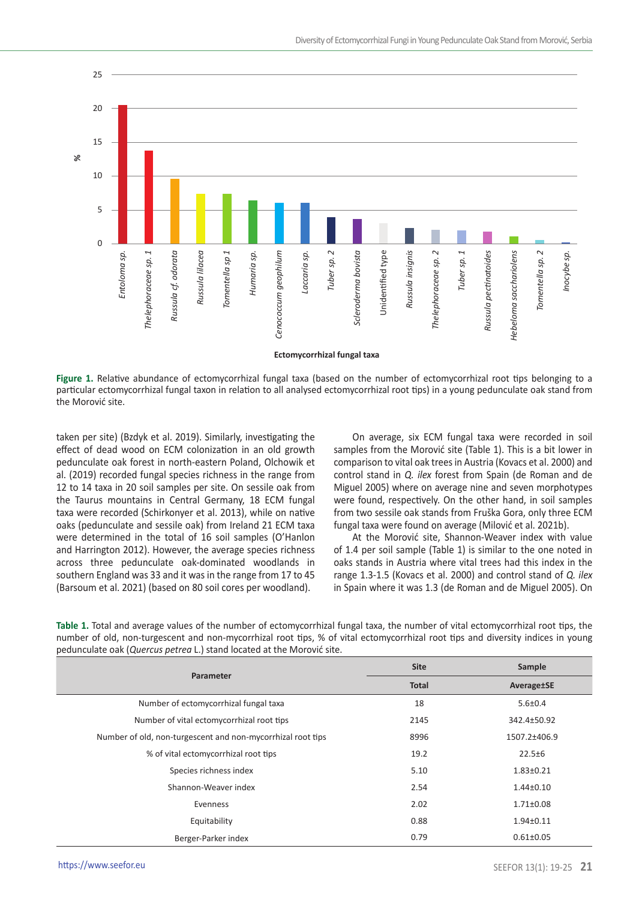

**Figure 1.** Relative abundance of ectomycorrhizal fungal taxa (based on the number of ectomycorrhizal root tips belonging to a particular ectomycorrhizal fungal taxon in relation to all analysed ectomycorrhizal root tips) in a young pedunculate oak stand from the Morović site.

taken per site) (Bzdyk et al. 2019). Similarly, investigating the effect of dead wood on ECM colonization in an old growth pedunculate oak forest in north-eastern Poland, Olchowik et al. (2019) recorded fungal species richness in the range from 12 to 14 taxa in 20 soil samples per site. On sessile oak from the Taurus mountains in Central Germany, 18 ECM fungal taxa were recorded (Schirkonyer et al. 2013), while on native oaks (pedunculate and sessile oak) from Ireland 21 ECM taxa were determined in the total of 16 soil samples (O'Hanlon and Harrington 2012). However, the average species richness across three pedunculate oak-dominated woodlands in southern England was 33 and it was in the range from 17 to 45 (Barsoum et al. 2021) (based on 80 soil cores per woodland).

On average, six ECM fungal taxa were recorded in soil samples from the Morović site (Table 1). This is a bit lower in comparison to vital oak trees in Austria (Kovacs et al. 2000) and control stand in *Q. ilex* forest from Spain (de Roman and de Miguel 2005) where on average nine and seven morphotypes were found, respectively. On the other hand, in soil samples from two sessile oak stands from Fruška Gora, only three ECM fungal taxa were found on average (Milović et al. 2021b).

At the Morović site, Shannon-Weaver index with value of 1.4 per soil sample (Table 1) is similar to the one noted in oaks stands in Austria where vital trees had this index in the range 1.3-1.5 (Kovacs et al. 2000) and control stand of *Q. ilex*  in Spain where it was 1.3 (de Roman and de Miguel 2005). On

| pedunculate bak (Quercus petreu L.) stand located at the ivibitivity site. |              |                 |  |
|----------------------------------------------------------------------------|--------------|-----------------|--|
| Parameter                                                                  | <b>Site</b>  | Sample          |  |
|                                                                            | <b>Total</b> | Average±SE      |  |
| Number of ectomycorrhizal fungal taxa                                      | 18           | $5.6 \pm 0.4$   |  |
| Number of vital ectomycorrhizal root tips                                  | 2145         | 342.4±50.92     |  |
| Number of old, non-turgescent and non-mycorrhizal root tips                | 8996         | 1507.2±406.9    |  |
| % of vital ectomycorrhizal root tips                                       | 19.2         | $22.5 \pm 6$    |  |
| Species richness index                                                     | 5.10         | $1.83 + 0.21$   |  |
| Shannon-Weaver index                                                       | 2.54         | $1.44 \pm 0.10$ |  |
| Evenness                                                                   | 2.02         | $1.71 \pm 0.08$ |  |
| Equitability                                                               | 0.88         | $1.94 + 0.11$   |  |
| Berger-Parker index                                                        | 0.79         | $0.61 \pm 0.05$ |  |

**Table 1.** Total and average values of the number of ectomycorrhizal fungal taxa, the number of vital ectomycorrhizal root tips, the number of old, non-turgescent and non-mycorrhizal root tips, % of vital ectomycorrhizal root tips and diversity indices in young pedunculate oak (*Quercus petrea* L.) stand located at the Morović site.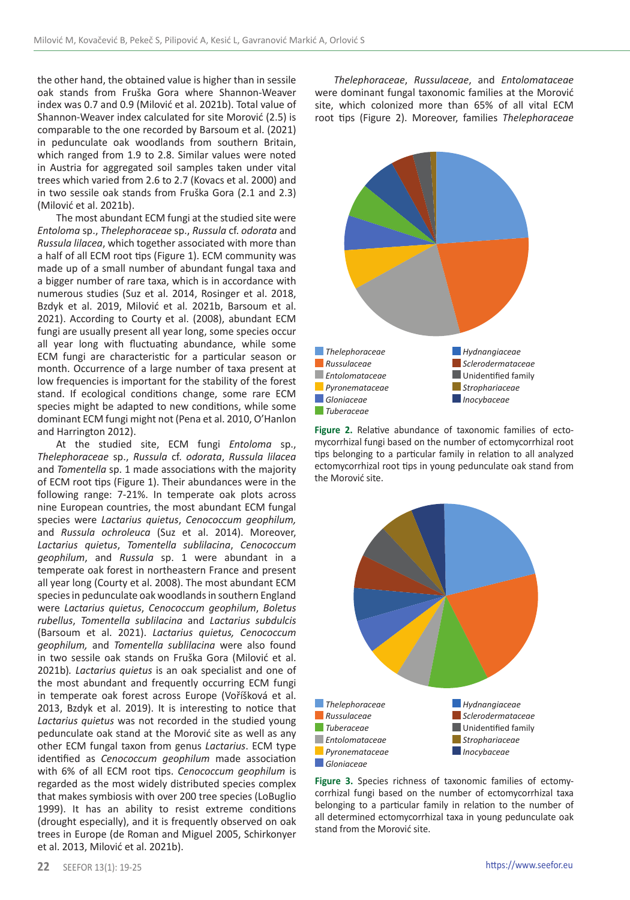the other hand, the obtained value is higher than in sessile oak stands from Fruška Gora where Shannon-Weaver index was 0.7 and 0.9 (Milović et al. 2021b). Total value of Shannon-Weaver index calculated for site Morović (2.5) is comparable to the one recorded by Barsoum et al. (2021) in pedunculate oak woodlands from southern Britain, which ranged from 1.9 to 2.8. Similar values were noted in Austria for aggregated soil samples taken under vital trees which varied from 2.6 to 2.7 (Kovacs et al. 2000) and in two sessile oak stands from Fruška Gora (2.1 and 2.3) (Milović et al. 2021b).

The most abundant ECM fungi at the studied site were *Entoloma* sp., *Thelephoraceae* sp., *Russula* cf. *odorata* and *Russula lilacea*, which together associated with more than a half of all ECM root tips (Figure 1). ECM community was made up of a small number of abundant fungal taxa and a bigger number of rare taxa, which is in accordance with numerous studies (Suz et al. 2014, Rosinger et al. 2018, Bzdyk et al. 2019, Milović et al. 2021b, Barsoum et al. 2021). According to Courty et al. (2008), abundant ECM fungi are usually present all year long, some species occur all year long with fluctuating abundance, while some ECM fungi are characteristic for a particular season or month. Occurrence of a large number of taxa present at low frequencies is important for the stability of the forest stand. If ecological conditions change, some rare ECM species might be adapted to new conditions, while some dominant ECM fungi might not (Pena et al. 2010, O'Hanlon and Harrington 2012).

At the studied site, ECM fungi *Entoloma* sp., *Thelephoraceae* sp., *Russula* cf. *odorata*, *Russula lilacea* and *Tomentella* sp. 1 made associations with the majority of ECM root tips (Figure 1). Their abundances were in the following range: 7-21%. In temperate oak plots across nine European countries, the most abundant ECM fungal species were *Lactarius quietus*, *Cenococcum geophilum,* and *Russula ochroleuca* (Suz et al. 2014). Moreover, *Lactarius quietus*, *Tomentella sublilacina*, *Cenococcum geophilum*, and *Russula* sp. 1 were abundant in a temperate oak forest in northeastern France and present all year long (Courty et al. 2008). The most abundant ECM species in pedunculate oak woodlands in southern England were *Lactarius quietus*, *Cenococcum geophilum*, *Boletus rubellus*, *Tomentella sublilacina* and *Lactarius subdulcis* (Barsoum et al. 2021). *Lactarius quietus, Cenococcum geophilum,* and *Tomentella sublilacina* were also found in two sessile oak stands on Fruška Gora (Milović et al. 2021b)*. Lactarius quietus* is an oak specialist and one of the most abundant and frequently occurring ECM fungi in temperate oak forest across Europe (Voříšková et al. 2013, Bzdyk et al. 2019). It is interesting to notice that *Lactarius quietus* was not recorded in the studied young pedunculate oak stand at the Morović site as well as any other ECM fungal taxon from genus *Lactarius*. ECM type identified as *Cenococcum geophilum* made association with 6% of all ECM root tips. *Cenococcum geophilum* is regarded as the most widely distributed species complex that makes symbiosis with over 200 tree species (LoBuglio 1999). It has an ability to resist extreme conditions (drought especially), and it is frequently observed on oak trees in Europe (de Roman and Miguel 2005, Schirkonyer et al. 2013, Milović et al. 2021b).

*Thelephoraceae*, *Russulaceae*, and *Entolomataceae* were dominant fungal taxonomic families at the Morović site, which colonized more than 65% of all vital ECM root tips (Figure 2). Moreover, families *Thelephoraceae*



**Figure 2.** Relative abundance of taxonomic families of ectomycorrhizal fungi based on the number of ectomycorrhizal root tips belonging to a particular family in relation to all analyzed ectomycorrhizal root tips in young pedunculate oak stand from the Morović site.



**Figure 3.** Species richness of taxonomic families of ectomycorrhizal fungi based on the number of ectomycorrhizal taxa belonging to a particular family in relation to the number of all determined ectomycorrhizal taxa in young pedunculate oak stand from the Morović site.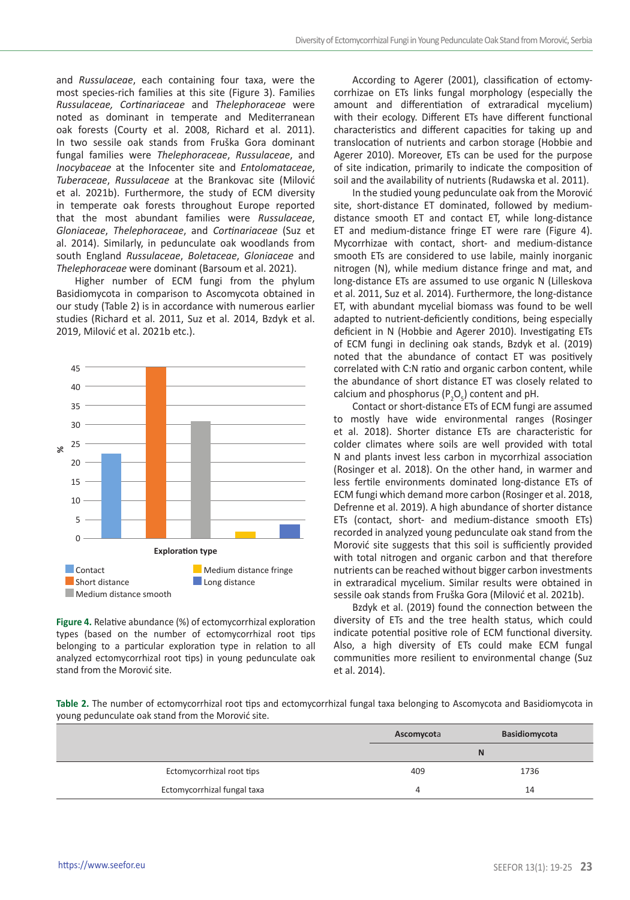and *Russulaceae*, each containing four taxa, were the most species-rich families at this site (Figure 3). Families *Russulaceae, Cortinariaceae* and *Thelephoraceae* were noted as dominant in temperate and Mediterranean oak forests (Courty et al. 2008, Richard et al. 2011). In two sessile oak stands from Fruška Gora dominant fungal families were *Thelephoraceae*, *Russulaceae*, and *Inocybaceae* at the Infocenter site and *Entolomataceae*, *Tuberaceae*, *Russulaceae* at the Brankovac site (Milović et al. 2021b). Furthermore, the study of ECM diversity in temperate oak forests throughout Europe reported that the most abundant families were *Russulaceae*, *Gloniaceae*, *Thelephoraceae*, and *Cortinariaceae* (Suz et al. 2014). Similarly, in pedunculate oak woodlands from south England *Russulaceae*, *Boletaceae*, *Gloniaceae* and *Thelephoraceae* were dominant (Barsoum et al. 2021).

Higher number of ECM fungi from the phylum Basidiomycota in comparison to Ascomycota obtained in our study (Table 2) is in accordance with numerous earlier studies (Richard et al. 2011, Suz et al. 2014, Bzdyk et al. 2019, Milović et al. 2021b etc.).



**Figure 4.** Relative abundance (%) of ectomycorrhizal exploration types (based on the number of ectomycorrhizal root tips belonging to a particular exploration type in relation to all analyzed ectomycorrhizal root tips) in young pedunculate oak stand from the Morović site.

According to Agerer (2001), classification of ectomycorrhizae on ETs links fungal morphology (especially the amount and differentiation of extraradical mycelium) with their ecology. Different ETs have different functional characteristics and different capacities for taking up and translocation of nutrients and carbon storage (Hobbie and Agerer 2010). Moreover, ETs can be used for the purpose of site indication, primarily to indicate the composition of soil and the availability of nutrients (Rudawska et al. 2011).

In the studied young pedunculate oak from the Morović site, short-distance ET dominated, followed by mediumdistance smooth ET and contact ET, while long-distance ET and medium-distance fringe ET were rare (Figure 4). Mycorrhizae with contact, short- and medium-distance smooth ETs are considered to use labile, mainly inorganic nitrogen (N), while medium distance fringe and mat, and long-distance ETs are assumed to use organic N (Lilleskova et al. 2011, Suz et al. 2014). Furthermore, the long-distance ET, with abundant mycelial biomass was found to be well adapted to nutrient-deficiently conditions, being especially deficient in N (Hobbie and Agerer 2010). Investigating ETs of ECM fungi in declining oak stands, Bzdyk et al. (2019) noted that the abundance of contact ET was positively correlated with C:N ratio and organic carbon content, while the abundance of short distance ET was closely related to calcium and phosphorus  $(P_2O_5)$  content and pH.

Contact or short-distance ETs of ECM fungi are assumed to mostly have wide environmental ranges (Rosinger et al. 2018). Shorter distance ETs are characteristic for colder climates where soils are well provided with total N and plants invest less carbon in mycorrhizal association (Rosinger et al. 2018). On the other hand, in warmer and less fertile environments dominated long-distance ETs of ECM fungi which demand more carbon (Rosinger et al. 2018, Defrenne et al. 2019). A high abundance of shorter distance ETs (contact, short- and medium-distance smooth ETs) recorded in analyzed young pedunculate oak stand from the Morović site suggests that this soil is sufficiently provided with total nitrogen and organic carbon and that therefore nutrients can be reached without bigger carbon investments in extraradical mycelium. Similar results were obtained in sessile oak stands from Fruška Gora (Milović et al. 2021b).

Bzdyk et al. (2019) found the connection between the diversity of ETs and the tree health status, which could indicate potential positive role of ECM functional diversity. Also, a high diversity of ETs could make ECM fungal communities more resilient to environmental change (Suz et al. 2014).

**Table 2.** The number of ectomycorrhizal root tips and ectomycorrhizal fungal taxa belonging to Ascomycota and Basidiomycota in young pedunculate oak stand from the Morović site.

|                             | Ascomycota | Basidiomycota |
|-----------------------------|------------|---------------|
|                             |            |               |
| Ectomycorrhizal root tips   | 409        | 1736          |
| Ectomycorrhizal fungal taxa | 4          | 14            |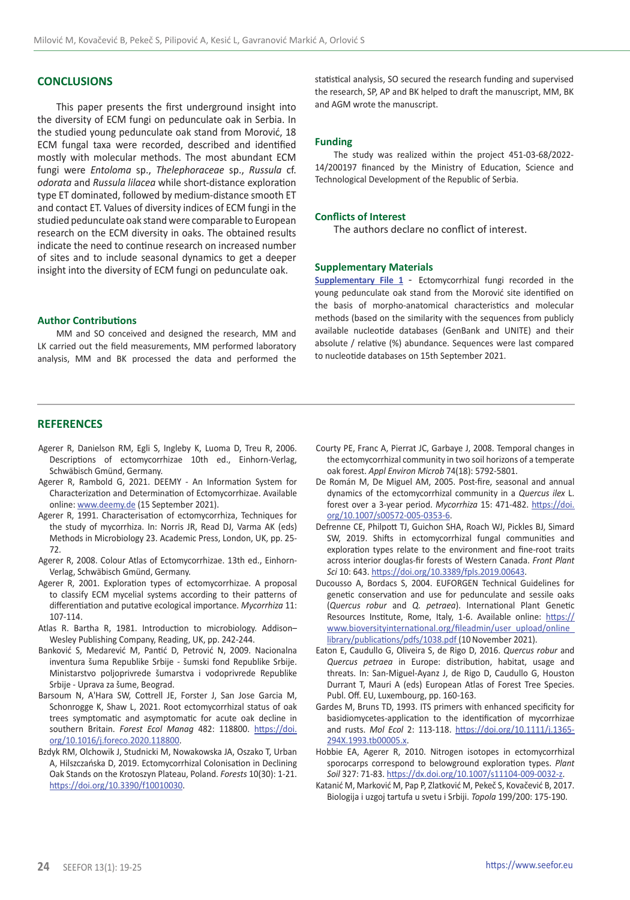## **CONCLUSIONS**

This paper presents the first underground insight into the diversity of ECM fungi on pedunculate oak in Serbia. In the studied young pedunculate oak stand from Morović, 18 ECM fungal taxa were recorded, described and identified mostly with molecular methods. The most abundant ECM fungi were *Entoloma* sp., *Thelephoraceae* sp., *Russula* cf. *odorata* and *Russula lilacea* while short-distance exploration type ET dominated, followed by medium-distance smooth ET and contact ET. Values of diversity indices of ECM fungi in the studied pedunculate oak stand were comparable to European research on the ECM diversity in oaks. The obtained results indicate the need to continue research on increased number of sites and to include seasonal dynamics to get a deeper insight into the diversity of ECM fungi on pedunculate oak.

## **Author Contributions**

MM and SO conceived and designed the research, MM and LK carried out the field measurements, MM performed laboratory analysis, MM and BK processed the data and performed the statistical analysis, SO secured the research funding and supervised the research, SP, AP and BK helped to draft the manuscript, MM, BK and AGM wrote the manuscript.

#### **Funding**

The study was realized within the project 451-03-68/2022- 14/200197 financed by the Ministry of Education, Science and Technological Development of the Republic of Serbia.

## **Conflicts of Interest**

The authors declare no conflict of interest.

#### **Supplementary Materials**

**[Supplementary File 1](mailto:https://seefor.eu/images/arhiva/supp_material/milovic_et_al_supp_2022_1.pdf?subject=)** - Ectomycorrhizal fungi recorded in the young pedunculate oak stand from the Morović site identified on the basis of morpho-anatomical characteristics and molecular methods (based on the similarity with the sequences from publicly available nucleotide databases (GenBank and UNITE) and their absolute / relative (%) abundance. Sequences were last compared to nucleotide databases on 15th September 2021.

## **REFERENCES**

- Agerer R, Danielson RM, Egli S, Ingleby K, Luoma D, Treu R, 2006. Descriptions of ectomycorrhizae 10th ed., Einhorn-Verlag, Schwäbisch Gmünd, Germany.
- Agerer R, Rambold G, 2021. DEEMY An Information System for Characterization and Determination of Ectomycorrhizae. Available online: [www.deemy.de](http://www.deemy.de) (15 September 2021).
- Agerer R, 1991. Characterisation of ectomycorrhiza, Techniques for the study of mycorrhiza. In: Norris JR, Read DJ, Varma AK (eds) Methods in Microbiology 23. Academic Press, London, UK, pp. 25- 72.
- Agerer R, 2008. Colour Atlas of Ectomycorrhizae. 13th ed., Einhorn-Verlag, Schwäbisch Gmünd, Germany.
- Agerer R, 2001. Exploration types of ectomycorrhizae. A proposal to classify ECM mycelial systems according to their patterns of differentiation and putative ecological importance. *Mycorrhiza* 11: 107-114.
- Atlas R. Bartha R, 1981. Introduction to microbiology. Addison– Wesley Publishing Company, Reading, UK, pp. 242-244.
- Banković S, Medarević M, Pantić D, Petrović N, 2009. Nacionalna inventura šuma Republike Srbije - šumski fond Republike Srbije. Ministarstvo poljoprivrede šumarstva i vodoprivrede Republike Srbije - Uprava za šume, Beograd.
- Barsoum N, A'Hara SW, Cottrell JE, Forster J, San Jose Garcia M, Schonrogge K, Shaw L, 2021. Root ectomycorrhizal status of oak trees symptomatic and asymptomatic for acute oak decline in southern Britain. *Forest Ecol Manag* 482: 118800. [https://doi.](https://doi.org/10.1016/j.foreco.2020.118800) [org/10.1016/j.foreco.2020.118800.](https://doi.org/10.1016/j.foreco.2020.118800)
- Bzdyk RM, Olchowik J, Studnicki M, Nowakowska JA, Oszako T, Urban A, Hilszczańska D, 2019. Ectomycorrhizal Colonisation in Declining Oak Stands on the Krotoszyn Plateau, Poland. *Forests* 10(30): 1-21. <https://doi.org/10.3390/f10010030>.
- Courty PE, Franc A, Pierrat JC, Garbaye J, 2008. Temporal changes in the ectomycorrhizal community in two soil horizons of a temperate oak forest. *Appl Environ Microb* 74(18): 5792-5801.
- De Román M, De Miguel AM, 2005. Post-fire, seasonal and annual dynamics of the ectomycorrhizal community in a *Quercus ilex* L. forest over a 3-year period. *Mycorrhiza* 15: 471-482. [https://doi.](https://doi.org/10.1007/s00572-005-0353-6) [org/10.1007/s00572-005-0353-6](https://doi.org/10.1007/s00572-005-0353-6).
- Defrenne CE, Philpott TJ, Guichon SHA, Roach WJ, Pickles BJ, Simard SW, 2019. Shifts in ectomycorrhizal fungal communities and exploration types relate to the environment and fine-root traits across interior douglas-fir forests of Western Canada. *Front Plant Sci* 10: 643. [https://doi.org/10.3389/fpls.2019.00643.](https://doi.org/10.3389/fpls.2019.00643)
- Ducousso A, Bordacs S, 2004. EUFORGEN Technical Guidelines for genetic conservation and use for pedunculate and sessile oaks (*Quercus robur* and *Q. petraea*). International Plant Genetic Resources Institute, Rome, Italy, 1-6. Available online: [https://](https://www.bioversityinternational.org/fileadmin/user_upload/online_library/publications/pdfs/1038.pdf) [www.bioversityinternational.org/fileadmin/user\\_upload/online\\_](https://www.bioversityinternational.org/fileadmin/user_upload/online_library/publications/pdfs/1038.pdf) [library/publications/pdfs/1038.pdf](https://www.bioversityinternational.org/fileadmin/user_upload/online_library/publications/pdfs/1038.pdf) (10 November 2021).
- Eaton E, Caudullo G, Oliveira S, de Rigo D, 2016. *Quercus robur* and *Quercus petraea* in Europe: distribution, habitat, usage and threats. In: San-Miguel-Ayanz J, de Rigo D, Caudullo G, Houston Durrant T, Mauri A (eds) European Atlas of Forest Tree Species. Publ. Off. EU, Luxembourg, pp. 160-163.
- Gardes M, Bruns TD, 1993. ITS primers with enhanced specificity for basidiomycetes-application to the identification of mycorrhizae and rusts. *Mol Ecol* 2: 113-118. [https://doi.org/10.1111/j.1365-](https://doi.org/10.1111/j.1365-294X.1993.tb00005.x) [294X.1993.tb00005.x](https://doi.org/10.1111/j.1365-294X.1993.tb00005.x).
- Hobbie EA, Agerer R, 2010. Nitrogen isotopes in ectomycorrhizal sporocarps correspond to belowground exploration types. *Plant Soil* 327: 71-83.<https://dx.doi.org/10.1007/s11104-009-0032-z>.
- Katanić M, Marković M, Pap P, Zlatković M, Pekeč S, Kovačević B, 2017. Biologija i uzgoj tartufa u svetu i Srbiji. *Topola* 199/200: 175-190.